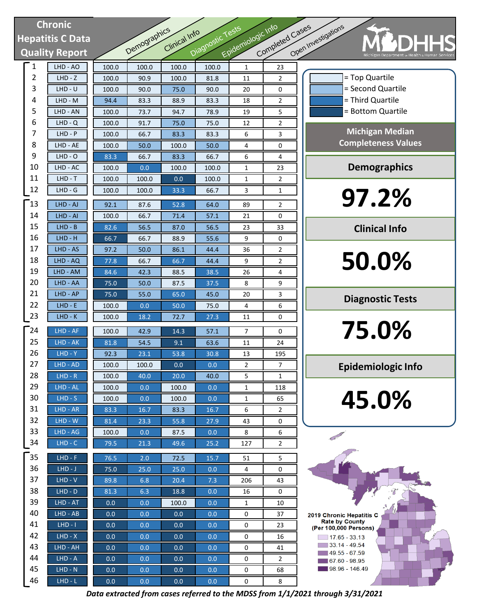# **Chronic Hepatitis C Data Quality Report**

| <b>Chronic</b> |                       |               |              |               |                  | Epidemiologic Info |                 |              |
|----------------|-----------------------|---------------|--------------|---------------|------------------|--------------------|-----------------|--------------|
|                | epatitis C Data       |               |              | Clinical Info |                  |                    |                 |              |
|                | <b>Quality Report</b> |               | Demographics |               | Diagnostic Tests |                    | Completed Cases | Open Inv     |
| 1              | LHD - AO              | 100.0         | 100.0        | 100.0         | 100.0            | $\mathbf{1}$       | 23              |              |
| 2              | $LHD - Z$             | 100.0         | 90.9         | 100.0         | 81.8             | 11                 | 2               |              |
| 3              | $LHD - U$             | 100.0         | 90.0         | 75.0          | 90.0             | 20                 | 0               |              |
| 4              | LHD - M               | 94.4          | 83.3         | 88.9          | 83.3             | 18                 | $\overline{2}$  |              |
| 5              | LHD - AN              | 100.0         | 73.7         | 94.7          | 78.9             | 19                 | 5               |              |
| 6              | $LHD - Q$             | 100.0         | 91.7         | 75.0          | 75.0             | 12                 | 2               |              |
| 7              | $LHD - P$             | 100.0         | 66.7         | 83.3          | 83.3             | 6                  | 3               |              |
| 8              | LHD - AE              | 100.0         | 50.0         | 100.0         | 50.0             | 4                  | 0               |              |
| 9              | $LHD - O$             | 83.3          | 66.7         | 83.3          | 66.7             | 6                  | 4               |              |
| 10             | $LHD - AC$            | 100.0         | 0.0          | 100.0         | 100.0            | 1                  | 23              |              |
| 11             | $LHD - T$             | 100.0         | 100.0        | 0.0           | 100.0            | 1                  | 2               |              |
| 12             | LHD - G               | 100.0         | 100.0        | 33.3          | 66.7             | 3                  | 1               |              |
| 13             | LHD - AJ              | 92.1          | 87.6         | 52.8          | 64.0             | 89                 | 2               |              |
| 14             | LHD - AI              | 100.0         | 66.7         | 71.4          | 57.1             | 21                 | 0               |              |
| 15             | $LHD - B$             | 82.6          | 56.5         | 87.0          | 56.5             | 23                 | 33              |              |
| 16             | $LHD - H$             | 66.7          | 66.7         | 88.9          | 55.6             | 9                  | 0               |              |
| 17             | LHD - AS              | 97.2          | 50.0         | 86.1          | 44.4             | 36                 | 2               |              |
| 18             | LHD - AQ              | 77.8          | 66.7         | 66.7          | 44.4             | 9                  | 2               |              |
| 19             | LHD - AM              | 84.6          | 42.3         | 88.5          | 38.5             | 26                 | 4               |              |
| 20             | LHD - AA              | 75.0          | 50.0         | 87.5          | 37.5             | 8                  | 9               |              |
| 21             | $LHD - AP$            | 75.0          | 55.0         | 65.0          | 45.0             | 20                 | 3               |              |
| 22             | $LHD - E$             | 100.0         | 0.0          | 50.0          | 75.0             | 4                  | 6               |              |
| 23             | $LHD-K$               | 100.0         | 18.2         | 72.7          | 27.3             | 11                 | 0               |              |
|                |                       |               |              |               |                  |                    |                 |              |
| 24             | LHD - AF              | 100.0         | 42.9         | 14.3          | 57.1             | 7                  | 0               |              |
| 25             | LHD - AK              | 81.8          | 54.5         | 9.1           | 63.6             | 11                 | 24              |              |
| 26             | $LHD - Y$             | 92.3          | 23.1         | 53.8          | 30.8             | 13                 | 195             |              |
| 27<br>28       | LHD - AD              | 100.0         | 100.0        | 0.0           | 0.0              | 2                  | 7               |              |
| 29             | $LHD - R$             | 100.0         | 40.0         | 20.0          | 40.0             | 5                  | 1               |              |
| 30             | LHD - AL              | 100.0         | 0.0          | 100.0         | 0.0              | 1                  | 118             |              |
| 31             | $LHD-S$<br>LHD - AR   | 100.0<br>83.3 | 0.0<br>16.7  | 100.0<br>83.3 | 0.0<br>16.7      | 1<br>6             | 65<br>2         |              |
| 32             | $LHD - W$             | 81.4          | 23.3         | 55.8          | 27.9             | 43                 | 0               |              |
| 33             | LHD - AG              | 100.0         | 0.0          | 87.5          | 0.0              | 8                  | 6               |              |
| 34             | $LHD - C$             | 79.5          | 21.3         | 49.6          | 25.2             | 127                | 2               |              |
| 35             | $LHD - F$             |               | 2.0          |               | 15.7             |                    |                 |              |
| 36             | $LHD-J$               | 76.5<br>75.0  | 25.0         | 72.5<br>25.0  | 0.0              | 51<br>4            | 5<br>0          |              |
| 37             | $LHD - V$             | 89.8          | 6.8          | 20.4          | 7.3              | 206                | 43              |              |
| 38             | $LHD - D$             | 81.3          | 6.3          | 18.8          | 0.0              | 16                 | 0               |              |
| 39             | LHD - AT              | 0.0           | 0.0          | 100.0         | 0.0              | 1                  | 10              |              |
| 40             | LHD - AB              | 0.0           | 0.0          | 0.0           | 0.0              | 0                  | 37              | 201          |
| 41             | $LHD - I$             | 0.0           | 0.0          | 0.0           | 0.0              | 0                  | 23              |              |
| 42             | $LHD - X$             | 0.0           | 0.0          | 0.0           | 0.0              | 0                  | 16              | $\mathbf{r}$ |
| 43             | LHD - AH              | 0.0           | 0.0          | 0.0           | 0.0              | 0                  | 41              |              |
| 44             | $LHD - A$             | 0.0           | 0.0          | 0.0           | 0.0              | 0                  | 2               |              |
| 45             | $LHD - N$             | 0.0           | 0.0          | 0.0           | 0.0              | 0                  | 68              |              |
| 46             | $LHD-L$               | 0.0           | 0.0          | $0.0\,$       | 0.0              | $\pmb{0}$          | 8               |              |

|                                            | pen Investigations<br>Michigan Department or He                              |  |  |  |  |  |  |
|--------------------------------------------|------------------------------------------------------------------------------|--|--|--|--|--|--|
|                                            | = Top Quartile<br>= Second Quartile<br>= Third Quartile<br>= Bottom Quartile |  |  |  |  |  |  |
|                                            | <b>Michigan Median</b><br><b>Completeness Values</b>                         |  |  |  |  |  |  |
|                                            | <b>Demographics</b>                                                          |  |  |  |  |  |  |
| Ī<br>$\begin{array}{c} \hline \end{array}$ | 97.2%                                                                        |  |  |  |  |  |  |
| ╡                                          | <b>Clinical Info</b>                                                         |  |  |  |  |  |  |
|                                            | 50.0%                                                                        |  |  |  |  |  |  |
|                                            | <b>Diagnostic Tests</b>                                                      |  |  |  |  |  |  |
| İ<br>$\overline{1}$                        | 75.0%                                                                        |  |  |  |  |  |  |
|                                            | <b>Epidemiologic Info</b>                                                    |  |  |  |  |  |  |

**45.0%**

2019 Chronic Hepatitis C Rate by County<br>Rate by County<br>(Per 100,000 Persons)  $\boxed{ }$  17.65 - 33.13  $33.14 - 49.54$  $149.55 - 67.59$  $67.60 - 98.95$  $98.96 - 146.49$ 

*Data extracted from cases referred to the MDSS from 1/1/2021 through 3/31/2021*